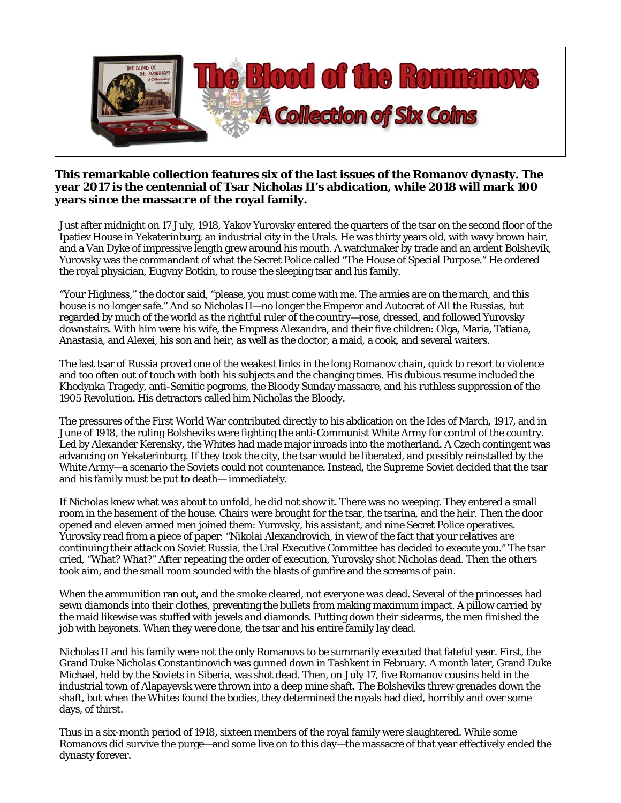

## **This remarkable collection features six of the last issues of the Romanov dynasty. The year 2017 is the centennial of Tsar Nicholas II's abdication, while 2018 will mark 100 years since the massacre of the royal family.**

Just after midnight on 17 July, 1918, Yakov Yurovsky entered the quarters of the tsar on the second floor of the Ipatiev House in Yekaterinburg, an industrial city in the Urals. He was thirty years old, with wavy brown hair, and a Van Dyke of impressive length grew around his mouth. A watchmaker by trade and an ardent Bolshevik, Yurovsky was the commandant of what the Secret Police called "The House of Special Purpose." He ordered the royal physician, Eugvny Botkin, to rouse the sleeping tsar and his family.

"Your Highness," the doctor said, "please, you must come with me. The armies are on the march, and this house is no longer safe." And so Nicholas II—no longer the Emperor and Autocrat of All the Russias, but regarded by much of the world as the rightful ruler of the country—rose, dressed, and followed Yurovsky downstairs. With him were his wife, the Empress Alexandra, and their five children: Olga, Maria, Tatiana, Anastasia, and Alexei, his son and heir, as well as the doctor, a maid, a cook, and several waiters.

The last tsar of Russia proved one of the weakest links in the long Romanov chain, quick to resort to violence and too often out of touch with both his subjects and the changing times. His dubious resume included the Khodynka Tragedy, anti-Semitic pogroms, the Bloody Sunday massacre, and his ruthless suppression of the 1905 Revolution. His detractors called him Nicholas the Bloody.

The pressures of the First World War contributed directly to his abdication on the Ides of March, 1917, and in June of 1918, the ruling Bolsheviks were fighting the anti-Communist White Army for control of the country. Led by Alexander Kerensky, the Whites had made major inroads into the motherland. A Czech contingent was advancing on Yekaterinburg. If they took the city, the tsar would be liberated, and possibly reinstalled by the White Army—a scenario the Soviets could not countenance. Instead, the Supreme Soviet decided that the tsar and his family must be put to death— immediately.

If Nicholas knew what was about to unfold, he did not show it. There was no weeping. They entered a small room in the basement of the house. Chairs were brought for the tsar, the tsarina, and the heir. Then the door opened and eleven armed men joined them: Yurovsky, his assistant, and nine Secret Police operatives. Yurovsky read from a piece of paper: "Nikolai Alexandrovich, in view of the fact that your relatives are continuing their attack on Soviet Russia, the Ural Executive Committee has decided to execute you." The tsar cried, "What? What?" After repeating the order of execution, Yurovsky shot Nicholas dead. Then the others took aim, and the small room sounded with the blasts of gunfire and the screams of pain.

When the ammunition ran out, and the smoke cleared, not everyone was dead. Several of the princesses had sewn diamonds into their clothes, preventing the bullets from making maximum impact. A pillow carried by the maid likewise was stuffed with jewels and diamonds. Putting down their sidearms, the men finished the job with bayonets. When they were done, the tsar and his entire family lay dead.

Nicholas II and his family were not the only Romanovs to be summarily executed that fateful year. First, the Grand Duke Nicholas Constantinovich was gunned down in Tashkent in February. A month later, Grand Duke Michael, held by the Soviets in Siberia, was shot dead. Then, on July 17, five Romanov cousins held in the industrial town of Alapayevsk were thrown into a deep mine shaft. The Bolsheviks threw grenades down the shaft, but when the Whites found the bodies, they determined the royals had died, horribly and over some days, of thirst.

Thus in a six-month period of 1918, sixteen members of the royal family were slaughtered. While some Romanovs did survive the purge—and some live on to this day—the massacre of that year effectively ended the dynasty forever.